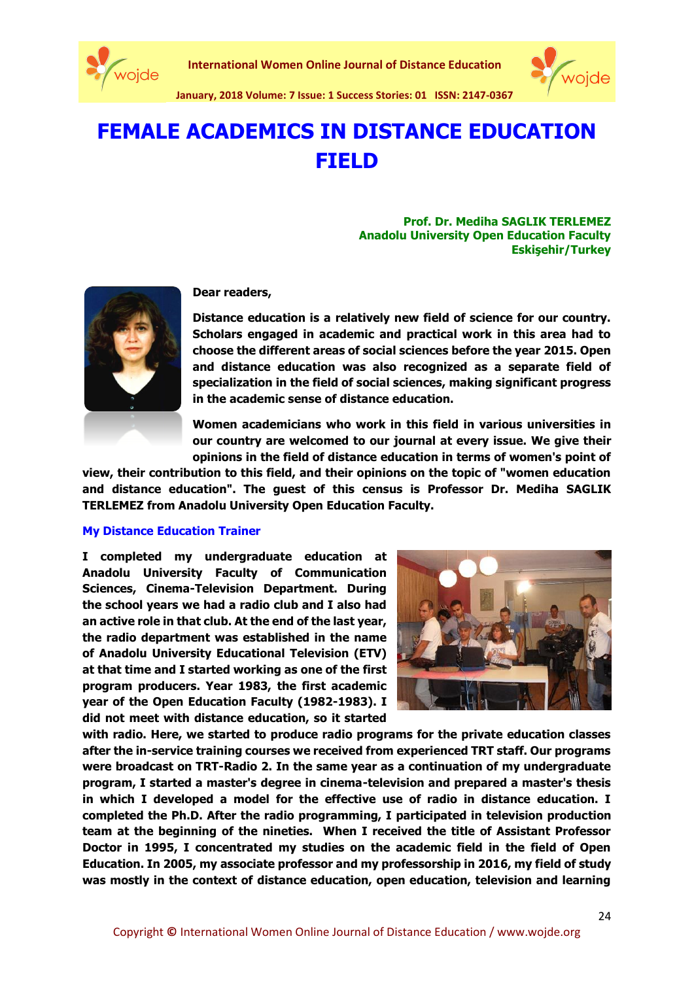



**January, 2018 Volume: 7 Issue: 1 Success Stories: 01 ISSN: 2147-0367**

# **FEMALE ACADEMICS IN DISTANCE EDUCATION FIELD**

**Prof. Dr. Mediha SAGLIK TERLEMEZ Anadolu University Open Education Faculty Eskişehir/Turkey**



**Dear readers,**

**Distance education is a relatively new field of science for our country. Scholars engaged in academic and practical work in this area had to choose the different areas of social sciences before the year 2015. Open and distance education was also recognized as a separate field of specialization in the field of social sciences, making significant progress in the academic sense of distance education.**

**Women academicians who work in this field in various universities in our country are welcomed to our journal at every issue. We give their opinions in the field of distance education in terms of women's point of** 

**view, their contribution to this field, and their opinions on the topic of "women education and distance education". The guest of this census is Professor Dr. Mediha SAGLIK TERLEMEZ from Anadolu University Open Education Faculty.**

## **My Distance Education Trainer**

**I completed my undergraduate education at Anadolu University Faculty of Communication Sciences, Cinema-Television Department. During the school years we had a radio club and I also had an active role in that club. At the end of the last year, the radio department was established in the name of Anadolu University Educational Television (ETV) at that time and I started working as one of the first program producers. Year 1983, the first academic year of the Open Education Faculty (1982-1983). I did not meet with distance education, so it started** 



**with radio. Here, we started to produce radio programs for the private education classes after the in-service training courses we received from experienced TRT staff. Our programs were broadcast on TRT-Radio 2. In the same year as a continuation of my undergraduate program, I started a master's degree in cinema-television and prepared a master's thesis in which I developed a model for the effective use of radio in distance education. I completed the Ph.D. After the radio programming, I participated in television production team at the beginning of the nineties. When I received the title of Assistant Professor Doctor in 1995, I concentrated my studies on the academic field in the field of Open Education. In 2005, my associate professor and my professorship in 2016, my field of study was mostly in the context of distance education, open education, television and learning**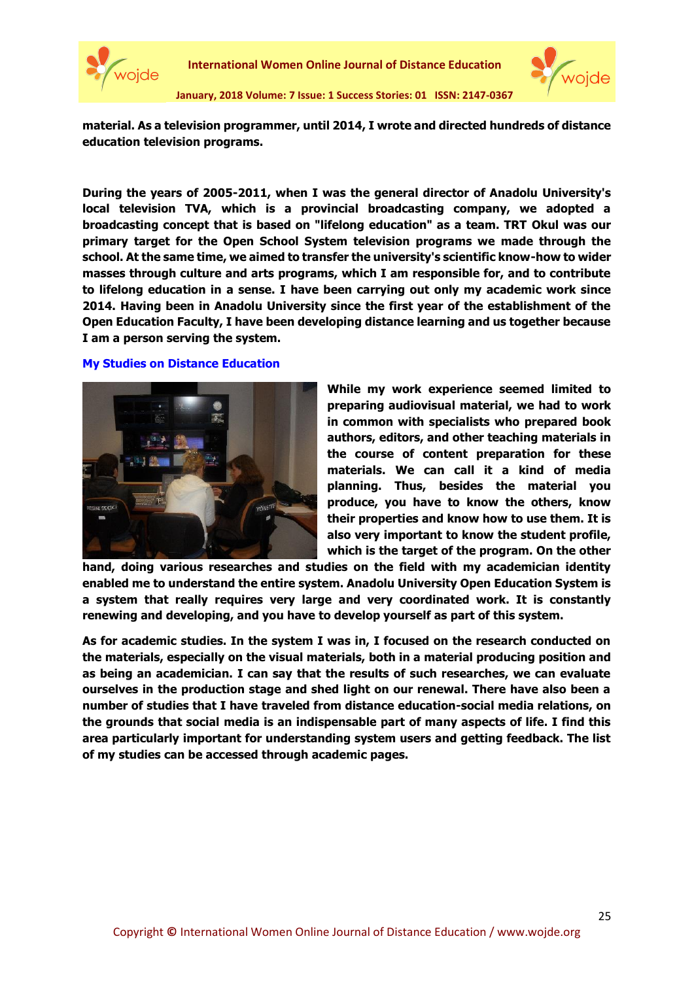



**January, 2018 Volume: 7 Issue: 1 Success Stories: 01 ISSN: 2147-0367**

**material. As a television programmer, until 2014, I wrote and directed hundreds of distance education television programs.**

**During the years of 2005-2011, when I was the general director of Anadolu University's local television TVA, which is a provincial broadcasting company, we adopted a broadcasting concept that is based on "lifelong education" as a team. TRT Okul was our primary target for the Open School System television programs we made through the school. At the same time, we aimed to transfer the university's scientific know-how to wider masses through culture and arts programs, which I am responsible for, and to contribute to lifelong education in a sense. I have been carrying out only my academic work since 2014. Having been in Anadolu University since the first year of the establishment of the Open Education Faculty, I have been developing distance learning and us together because I am a person serving the system.**

## **My Studies on Distance Education**



**While my work experience seemed limited to preparing audiovisual material, we had to work in common with specialists who prepared book authors, editors, and other teaching materials in the course of content preparation for these materials. We can call it a kind of media planning. Thus, besides the material you produce, you have to know the others, know their properties and know how to use them. It is also very important to know the student profile, which is the target of the program. On the other** 

**hand, doing various researches and studies on the field with my academician identity enabled me to understand the entire system. Anadolu University Open Education System is a system that really requires very large and very coordinated work. It is constantly renewing and developing, and you have to develop yourself as part of this system.**

**As for academic studies. In the system I was in, I focused on the research conducted on the materials, especially on the visual materials, both in a material producing position and as being an academician. I can say that the results of such researches, we can evaluate ourselves in the production stage and shed light on our renewal. There have also been a number of studies that I have traveled from distance education-social media relations, on the grounds that social media is an indispensable part of many aspects of life. I find this area particularly important for understanding system users and getting feedback. The list of my studies can be accessed through academic pages.**